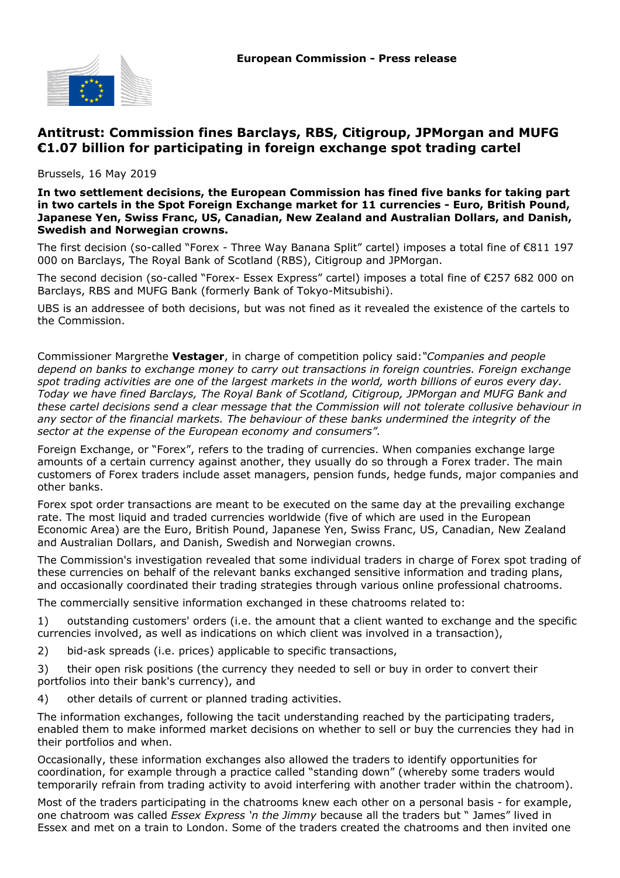

# **Antitrust: Commission fines Barclays, RBS, Citigroup, JPMorgan and MUFG €1.07 billion for participating in foreign exchange spot trading cartel**

Brussels, 16 May 2019

**In two settlement decisions, the European Commission has fined five banks for taking part in two cartels in the Spot Foreign Exchange market for 11 currencies - Euro, British Pound, Japanese Yen, Swiss Franc, US, Canadian, New Zealand and Australian Dollars, and Danish, Swedish and Norwegian crowns.**

The first decision (so-called "Forex - Three Way Banana Split" cartel) imposes a total fine of €811 197 000 on Barclays, The Royal Bank of Scotland (RBS), Citigroup and JPMorgan.

The second decision (so-called "Forex- Essex Express" cartel) imposes a total fine of €257 682 000 on Barclays, RBS and MUFG Bank (formerly Bank of Tokyo-Mitsubishi).

UBS is an addressee of both decisions, but was not fined as it revealed the existence of the cartels to the Commission.

Commissioner Margrethe **Vestager**, in charge of competition policy said:*"Companies and people depend on banks to exchange money to carry out transactions in foreign countries. Foreign exchange spot trading activities are one of the largest markets in the world, worth billions of euros every day. Today we have fined Barclays, The Royal Bank of Scotland, Citigroup, JPMorgan and MUFG Bank and these cartel decisions send a clear message that the Commission will not tolerate collusive behaviour in any sector of the financial markets. The behaviour of these banks undermined the integrity of the sector at the expense of the European economy and consumers".*

Foreign Exchange, or "Forex", refers to the trading of currencies. When companies exchange large amounts of a certain currency against another, they usually do so through a Forex trader. The main customers of Forex traders include asset managers, pension funds, hedge funds, major companies and other banks.

Forex spot order transactions are meant to be executed on the same day at the prevailing exchange rate. The most liquid and traded currencies worldwide (five of which are used in the European Economic Area) are the Euro, British Pound, Japanese Yen, Swiss Franc, US, Canadian, New Zealand and Australian Dollars, and Danish, Swedish and Norwegian crowns.

The Commission's investigation revealed that some individual traders in charge of Forex spot trading of these currencies on behalf of the relevant banks exchanged sensitive information and trading plans, and occasionally coordinated their trading strategies through various online professional chatrooms.

The commercially sensitive information exchanged in these chatrooms related to:

1) outstanding customers' orders (i.e. the amount that a client wanted to exchange and the specific currencies involved, as well as indications on which client was involved in a transaction),

2) bid-ask spreads (i.e. prices) applicable to specific transactions,

3) their open risk positions (the currency they needed to sell or buy in order to convert their portfolios into their bank's currency), and

4) other details of current or planned trading activities.

The information exchanges, following the tacit understanding reached by the participating traders, enabled them to make informed market decisions on whether to sell or buy the currencies they had in their portfolios and when.

Occasionally, these information exchanges also allowed the traders to identify opportunities for coordination, for example through a practice called "standing down" (whereby some traders would temporarily refrain from trading activity to avoid interfering with another trader within the chatroom).

Most of the traders participating in the chatrooms knew each other on a personal basis - for example, one chatroom was called *Essex Express 'n the Jimmy* because all the traders but " James" lived in Essex and met on a train to London. Some of the traders created the chatrooms and then invited one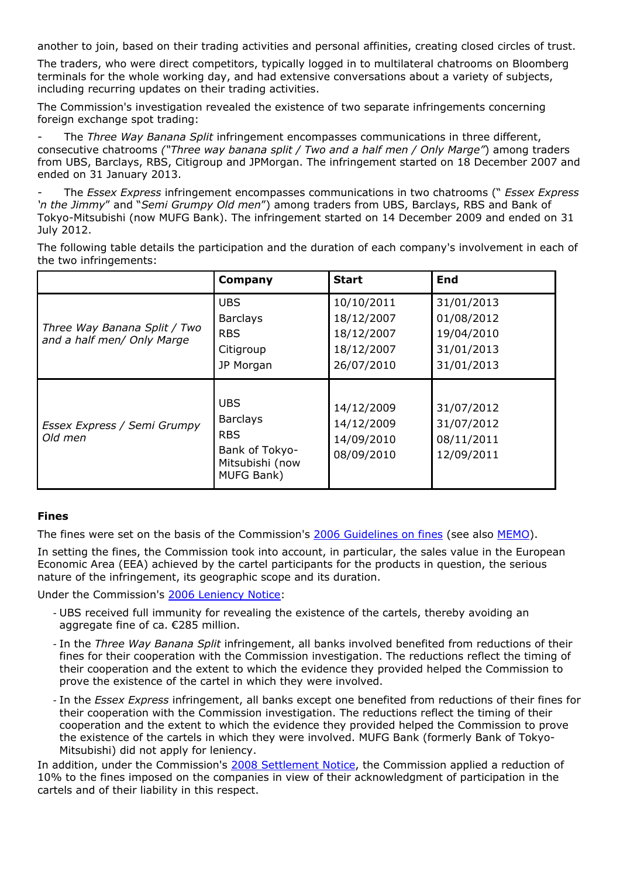another to join, based on their trading activities and personal affinities, creating closed circles of trust.

The traders, who were direct competitors, typically logged in to multilateral chatrooms on Bloomberg terminals for the whole working day, and had extensive conversations about a variety of subjects, including recurring updates on their trading activities.

The Commission's investigation revealed the existence of two separate infringements concerning foreign exchange spot trading:

- The *Three Way Banana Split* infringement encompasses communications in three different, consecutive chatrooms *("Three way banana split / Two and a half men / Only Marge"*) among traders from UBS, Barclays, RBS, Citigroup and JPMorgan. The infringement started on 18 December 2007 and ended on 31 January 2013.

- The *Essex Express* infringement encompasses communications in two chatrooms (" *Essex Express 'n the Jimmy*" and "*Semi Grumpy Old men*") among traders from UBS, Barclays, RBS and Bank of Tokyo-Mitsubishi (now MUFG Bank). The infringement started on 14 December 2009 and ended on 31 July 2012.

The following table details the participation and the duration of each company's involvement in each of the two infringements:

|                                                            | Company                                                                                        | <b>Start</b>                                                       | <b>End</b>                                                         |
|------------------------------------------------------------|------------------------------------------------------------------------------------------------|--------------------------------------------------------------------|--------------------------------------------------------------------|
| Three Way Banana Split / Two<br>and a half men/ Only Marge | <b>UBS</b><br><b>Barclays</b><br><b>RBS</b><br>Citigroup<br>JP Morgan                          | 10/10/2011<br>18/12/2007<br>18/12/2007<br>18/12/2007<br>26/07/2010 | 31/01/2013<br>01/08/2012<br>19/04/2010<br>31/01/2013<br>31/01/2013 |
| Essex Express / Semi Grumpy<br>Old men                     | <b>UBS</b><br><b>Barclays</b><br><b>RBS</b><br>Bank of Tokyo-<br>Mitsubishi (now<br>MUFG Bank) | 14/12/2009<br>14/12/2009<br>14/09/2010<br>08/09/2010               | 31/07/2012<br>31/07/2012<br>08/11/2011<br>12/09/2011               |

# **Fines**

The fines were set on the basis of the Commission's [2006 Guidelines on fines](http://europa.eu/rapid/press-release_IP-06-857_en.htm?locale=en) (see also [MEMO](http://europa.eu/rapid/press-release_MEMO-06-256_en.htm?locale=fr)).

In setting the fines, the Commission took into account, in particular, the sales value in the European Economic Area (EEA) achieved by the cartel participants for the products in question, the serious nature of the infringement, its geographic scope and its duration.

Under the Commission's [2006 Leniency Notice](http://europa.eu/rapid/press-release_IP-06-1705_en.htm?locale=en):

- UBS received full immunity for revealing the existence of the cartels, thereby avoiding an aggregate fine of ca. €285 million.
- In the *Three Way Banana Split* infringement, all banks involved benefited from reductions of their fines for their cooperation with the Commission investigation. The reductions reflect the timing of their cooperation and the extent to which the evidence they provided helped the Commission to prove the existence of the cartel in which they were involved.
- In the *Essex Express* infringement, all banks except one benefited from reductions of their fines for their cooperation with the Commission investigation. The reductions reflect the timing of their cooperation and the extent to which the evidence they provided helped the Commission to prove the existence of the cartels in which they were involved. MUFG Bank (formerly Bank of Tokyo-Mitsubishi) did not apply for leniency.

In addition, under the Commission's [2008 Settlement Notice,](http://eur-lex.europa.eu/LexUriServ/LexUriServ.do?uri=OJ:C:2008:167:0001:0006:EN:PDF) the Commission applied a reduction of 10% to the fines imposed on the companies in view of their acknowledgment of participation in the cartels and of their liability in this respect.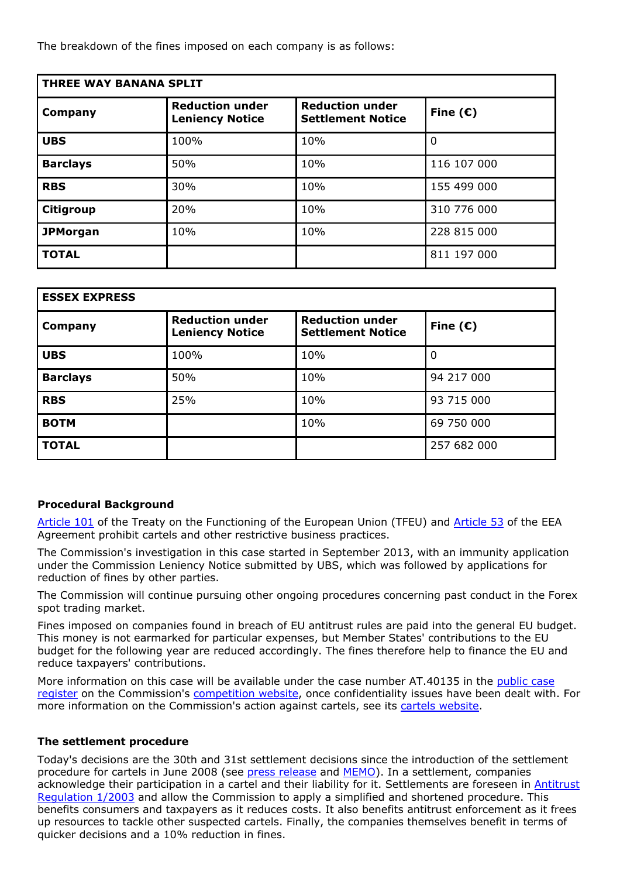The breakdown of the fines imposed on each company is as follows:

| <b>THREE WAY BANANA SPLIT</b> |                                                  |                                                    |                   |  |  |
|-------------------------------|--------------------------------------------------|----------------------------------------------------|-------------------|--|--|
| Company                       | <b>Reduction under</b><br><b>Leniency Notice</b> | <b>Reduction under</b><br><b>Settlement Notice</b> | Fine $(\epsilon)$ |  |  |
| <b>UBS</b>                    | 100%                                             | 10%                                                | $\Omega$          |  |  |
| <b>Barclays</b>               | 50%                                              | 10%                                                | 116 107 000       |  |  |
| <b>RBS</b>                    | 30%                                              | 10%                                                | 155 499 000       |  |  |
| <b>Citigroup</b>              | 20%                                              | 10%                                                | 310 776 000       |  |  |
| <b>JPMorgan</b>               | 10%                                              | 10%                                                | 228 815 000       |  |  |
| <b>TOTAL</b>                  |                                                  |                                                    | 811 197 000       |  |  |

| <b>ESSEX EXPRESS</b> |                                                  |                                                    |                   |  |  |
|----------------------|--------------------------------------------------|----------------------------------------------------|-------------------|--|--|
| Company              | <b>Reduction under</b><br><b>Leniency Notice</b> | <b>Reduction under</b><br><b>Settlement Notice</b> | Fine $(\epsilon)$ |  |  |
| <b>UBS</b>           | 100%                                             | 10%                                                | $\Omega$          |  |  |
| <b>Barclays</b>      | 50%                                              | 10%                                                | 94 217 000        |  |  |
| <b>RBS</b>           | 25%                                              | 10%                                                | 93 715 000        |  |  |
| <b>BOTM</b>          |                                                  | 10%                                                | 69 750 000        |  |  |
| <b>TOTAL</b>         |                                                  |                                                    | 257 682 000       |  |  |

# **Procedural Background**

[Article 101](https://eur-lex.europa.eu/legal-content/EN/ALL/?uri=CELEX:12008E101) of the Treaty on the Functioning of the European Union (TFEU) and [Article 53](http://ec.europa.eu/competition/international/multilateral/eea_agreemt_comp.pdf) of the EEA Agreement prohibit cartels and other restrictive business practices.

The Commission's investigation in this case started in September 2013, with an immunity application under the Commission Leniency Notice submitted by UBS, which was followed by applications for reduction of fines by other parties.

The Commission will continue pursuing other ongoing procedures concerning past conduct in the Forex spot trading market.

Fines imposed on companies found in breach of EU antitrust rules are paid into the general EU budget. This money is not earmarked for particular expenses, but Member States' contributions to the EU budget for the following year are reduced accordingly. The fines therefore help to finance the EU and reduce taxpayers' contributions.

More information on this case will be available under the case number AT.40135 in the [public case](http://ec.europa.eu/competition/elojade/isef/index.cfm?clear=1&policy_area_id=1) [register](http://ec.europa.eu/competition/elojade/isef/index.cfm?clear=1&policy_area_id=1) on the Commission's [competition website](http://ec.europa.eu/competition/index_en.html), once confidentiality issues have been dealt with. For more information on the Commission's action against cartels, see its [cartels website.](http://ec.europa.eu/competition/cartels/overview/index_en.html)

# **The settlement procedure**

Today's decisions are the 30th and 31st settlement decisions since the introduction of the settlement procedure for cartels in June 2008 (see [press release](http://europa.eu/rapid/press-release_IP-08-1056_en.htm?locale=en) and [MEMO](http://europa.eu/rapid/press-release_MEMO-08-458_en.htm?locale=en)). In a settlement, companies acknowledge their participation in a cartel and their liability for it. Settlements are foreseen in [Antitrust](http://eur-lex.europa.eu/legal-content/EN/ALL/?uri=celex%3A32003R0001) [Regulation 1/2003](http://eur-lex.europa.eu/legal-content/EN/ALL/?uri=celex%3A32003R0001) and allow the Commission to apply a simplified and shortened procedure. This benefits consumers and taxpayers as it reduces costs. It also benefits antitrust enforcement as it frees up resources to tackle other suspected cartels. Finally, the companies themselves benefit in terms of quicker decisions and a 10% reduction in fines.